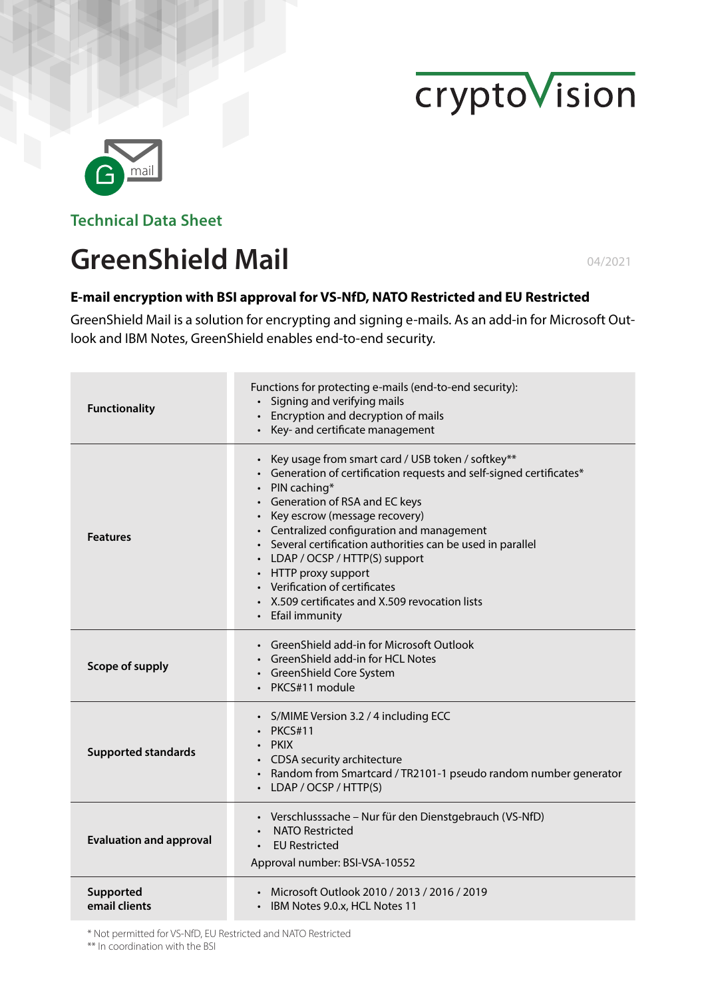



**Technical Data Sheet**

## **GreenShield Mail**

04/2021

## **E-mail encryption with BSI approval for VS-NfD, NATO Restricted and EU Restricted**

GreenShield Mail is a solution for encrypting and signing e-mails. As an add-in for Microsoft Outlook and IBM Notes, GreenShield enables end-to-end security.

| <b>Functionality</b>           | Functions for protecting e-mails (end-to-end security):<br>• Signing and verifying mails<br>Encryption and decryption of mails<br>• Key- and certificate management                                                                                                                                                                                                                                                                                                                                  |
|--------------------------------|------------------------------------------------------------------------------------------------------------------------------------------------------------------------------------------------------------------------------------------------------------------------------------------------------------------------------------------------------------------------------------------------------------------------------------------------------------------------------------------------------|
| <b>Features</b>                | • Key usage from smart card / USB token / softkey**<br>• Generation of certification requests and self-signed certificates*<br>• PIN caching*<br>• Generation of RSA and EC keys<br>• Key escrow (message recovery)<br>• Centralized configuration and management<br>• Several certification authorities can be used in parallel<br>• LDAP / OCSP / HTTP(S) support<br>• HTTP proxy support<br>• Verification of certificates<br>• X.509 certificates and X.509 revocation lists<br>• Efail immunity |
| Scope of supply                | • GreenShield add-in for Microsoft Outlook<br>• GreenShield add-in for HCL Notes<br>• GreenShield Core System<br>· PKCS#11 module                                                                                                                                                                                                                                                                                                                                                                    |
| <b>Supported standards</b>     | • S/MIME Version 3.2 / 4 including ECC<br>$\cdot$ PKCS#11<br>· PKIX<br>• CDSA security architecture<br>• Random from Smartcard / TR2101-1 pseudo random number generator<br>• LDAP / OCSP / HTTP(S)                                                                                                                                                                                                                                                                                                  |
| <b>Evaluation and approval</b> | · Verschlusssache – Nur für den Dienstgebrauch (VS-NfD)<br><b>NATO Restricted</b><br><b>EU Restricted</b><br>Approval number: BSI-VSA-10552                                                                                                                                                                                                                                                                                                                                                          |
| Supported<br>email clients     | Microsoft Outlook 2010 / 2013 / 2016 / 2019<br>IBM Notes 9.0.x, HCL Notes 11                                                                                                                                                                                                                                                                                                                                                                                                                         |

\* Not permitted for VS-NfD, EU Restricted and NATO Restricted

\*\* In coordination with the BSI